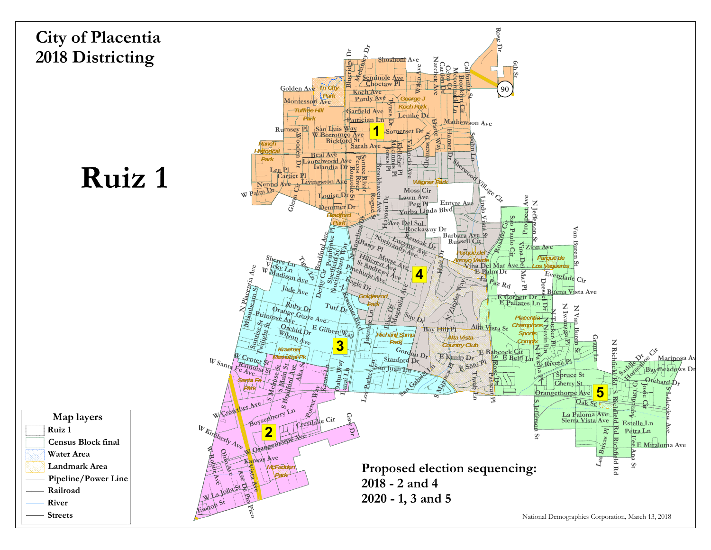